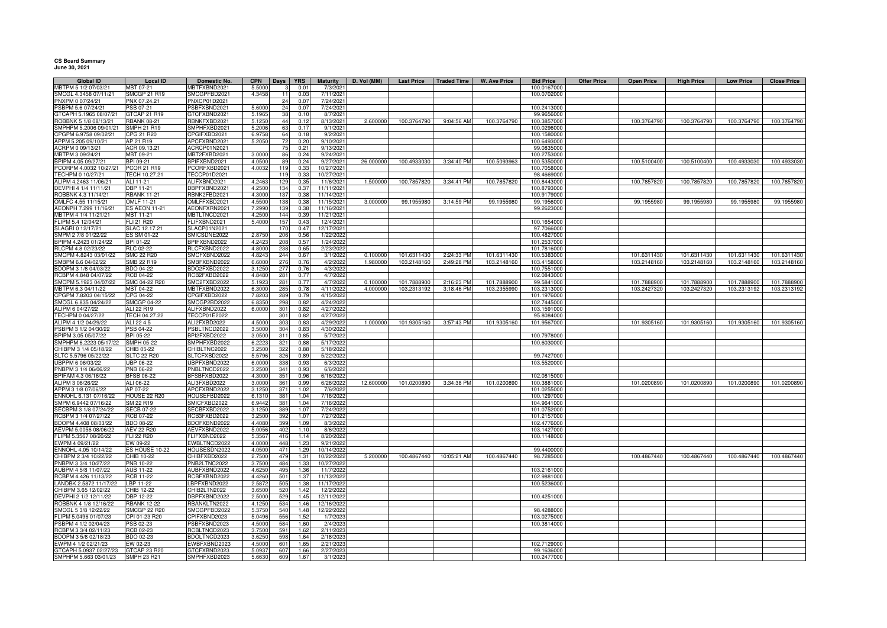**CS Board Summary June 30, 2021**

| <b>Global ID</b>                           | <b>Local ID</b>                         | Domestic No.                | <b>CPN</b>       | Days   YRS                 | <b>Maturity</b>         | D. Vol (MM) |             | Last Price   Traded Time   W. Ave Price |             | <b>Bid Price</b>          | <b>Offer Price</b> | <b>Open Price</b> | <b>High Price</b> | <b>Low Price</b> | <b>Close Price</b> |
|--------------------------------------------|-----------------------------------------|-----------------------------|------------------|----------------------------|-------------------------|-------------|-------------|-----------------------------------------|-------------|---------------------------|--------------------|-------------------|-------------------|------------------|--------------------|
| MBTPM 5 1/2 07/03/21                       | MBT 07-21                               | <b>MBTFXBND2021</b>         | 5.5000           | 0.01                       | 7/3/2021                |             |             |                                         |             | 100.0167000               |                    |                   |                   |                  |                    |
| SMCGL 4.3458 07/11/21                      | <b>SMCGP 21 R19</b>                     | SMCGPFBD2021                | 4.3458           | 0.03                       | 7/11/2021               |             |             |                                         |             | 100.0702000               |                    |                   |                   |                  |                    |
| PNXPM 0 07/24/21                           | PNX 07.24.21                            | PNXCP01D2021                |                  | 0.07<br>24                 | 7/24/202                |             |             |                                         |             |                           |                    |                   |                   |                  |                    |
| PSBPM 5.6 07/24/21                         | PSB 07-21                               | SBFXBND2021                 | 5.600            | 24<br>0.07                 | 7/24/2021               |             |             |                                         |             | 100.2413000               |                    |                   |                   |                  |                    |
| GTCAPH 5.1965 08/07/21                     | GTCAP 21 R19                            | <b>GTCFXBND2021</b>         | 5.196            | 38<br>0.10                 | 8/7/2021                |             |             |                                         |             | 99.9656000                |                    |                   |                   |                  |                    |
| ROBBNK 5 1/8 08/13/21                      | <b>RBANK 08-21</b>                      | <b>RBNKFXBD2021</b>         | 5.1250           | 44<br>0.12                 | 8/13/2021               | 2.600000    | 100.3764790 | 9:04:56 AM                              | 100.3764790 | 100.3857000               |                    | 100.3764790       | 100.3764790       | 100.3764790      | 100.3764790        |
| SMPHPM 5.2006 09/01/21                     | <b>SMPH 21 R19</b>                      | SMPHFXBD2021                | 5.2006           | 63<br>0.17                 | 9/1/2021                |             |             |                                         |             | 100.0296000               |                    |                   |                   |                  |                    |
| CPGPM 6.9758 09/02/21                      | <b>CPG 21 R20</b>                       | PGIFXBD2021                 | 6.975            | 64<br>0.18                 | 9/2/202                 |             |             |                                         |             | 100.1580000               |                    |                   |                   |                  |                    |
| APPM 5.205 09/10/21                        | AP 21 R19                               | APCFXBND2021                | 5.205            | 0.20                       | 9/10/202                |             |             |                                         |             | 100.6493000               |                    |                   |                   |                  |                    |
| ACRPM 0 09/13/21                           | ACR 09.13.21                            | ACRCP01N2021                |                  | 75<br>0.21                 | 9/13/202                |             |             |                                         |             | 99.0835000                |                    |                   |                   |                  |                    |
| MBTPM 3 09/24/21                           | MBT 09-21                               | MBT2FXBD2021                | 3.0000           | 86<br>0.24                 | 9/24/202                |             |             |                                         |             | 100.2753000               |                    |                   |                   |                  |                    |
| BPIPM 4.05 09/27/21                        | BPI 09-21                               | BPIFXBND2021                | 4.0500           | 89<br>0.24                 | 9/27/202                | 26.000000   | 100.4933030 | 3:34:40 PM                              | 100.5093963 | 100.5350000               |                    | 100.5100400       | 100.5100400       | 100.4933030      | 100.4933030        |
| PCORPM 4.0032 10/27/21                     | <b>PCOR 21 R19</b>                      | PCORFXBD2021                | 4.0032           | 119<br>0.33                | 10/27/2021              |             |             |                                         |             | 100.7058000               |                    |                   |                   |                  |                    |
| TECHPM 0 10/27/21                          | TECH 10.27.21                           | TECCP01D2021                |                  | 0.33<br>119                | 10/27/202               |             |             |                                         |             | 98.4669000                |                    |                   |                   |                  |                    |
| ALIPM 4.2463 11/06/21                      | ALI 11-21                               | ALIFXBND2021                | 4.2463           | 129<br>0.35                | 11/6/2021               | 1.500000    | 100.7857820 | 3:34:41 PM                              | 100.7857820 | 100.8443000               |                    | 100.7857820       | 100.7857820       | 100.7857820      | 100.7857820        |
| DEVPHI 4 1/4 11/11/21                      | DBP 11-21                               | BPFXBND2021                 | 4.2500           | 134<br>0.37                | 11/11/2021              |             |             |                                         |             | 100.8793000               |                    |                   |                   |                  |                    |
| ROBBNK 4.3 11/14/21<br>OMLFC 4.55 11/15/21 | <b>RBANK 11-21</b><br><b>OMLF 11-21</b> | BNK2FBD2021<br>OMLFFXBD2021 | 4.3000<br>4.5500 | 137<br>0.38<br>0.38<br>138 | 11/14/2021<br>11/15/202 | 3.000000    | 99.1955980  | 3:14:59 PM                              | 99.1955980  | 100.9179000<br>99.1956000 |                    | 99.1955980        | 99.1955980        | 99.1955980       | 99.1955980         |
| AEONPH 7.299 11/16/21                      | <b>ES AEON 11-21</b>                    | AEONFXRN2021                | 7.2990           | 139<br>0.38                | 11/16/202               |             |             |                                         |             | 99.2623000                |                    |                   |                   |                  |                    |
| MBTPM 4 1/4 11/21/21                       | MBT 11-21                               | <b>MBTLTNCD2021</b>         | 4.2500           | 144<br>0.39                | 11/21/202               |             |             |                                         |             |                           |                    |                   |                   |                  |                    |
| FLIPM 5.4 12/04/21                         | FLI 21 R20                              | FLIFXBND2021                | 5.4000           | 157<br>0.43                | 12/4/2021               |             |             |                                         |             | 100.1654000               |                    |                   |                   |                  |                    |
| SLAGRI 0 12/17/21                          | SLAC 12.17.21                           | SLACP01N2021                |                  | 170<br>0.47                | 12/17/2021              |             |             |                                         |             | 97.7066000                |                    |                   |                   |                  |                    |
| SMPM 2 7/8 01/22/22                        | ES SM 01-22                             | SMICSDNE2022                | 2.8750           | 206<br>0.56                | 1/22/2022               |             |             |                                         |             | 100.4827000               |                    |                   |                   |                  |                    |
| BPIPM 4.2423 01/24/22                      | BPI 01-22                               | BPIFXBND2022                | 4.2423           | 208<br>0.57                | 1/24/2022               |             |             |                                         |             | 101.2537000               |                    |                   |                   |                  |                    |
| RLCPM 4.8 02/23/22                         | RLC 02-22                               | <b>ILCFXBND2022</b>         | 4.8000           | 238<br>0.65                | 2/23/2022               |             |             |                                         |             | 101.7816000               |                    |                   |                   |                  |                    |
| SMCPM 4.8243 03/01/22                      | <b>SMC 22 R20</b>                       | SMCFXBND2022                | 4.8243           | 244<br>0.67                | 3/1/2022                | 0.100000    | 101.6311430 | 2:24:33 PM                              | 101.6311430 | 100.5383000               |                    | 101.6311430       | 101.6311430       | 101.6311430      | 101.6311430        |
| SMBPM 6.6 04/02/22                         | <b>SMB 22 R19</b>                       | SMBFXBND2022                | 6.6000           | 276<br>0.76                | 4/2/2022                | 1.980000    | 103.2148160 | 2:49:28 PM                              | 103.2148160 | 103.4158000               |                    | 103.2148160       | 103.2148160       | 103.2148160      | 103.2148160        |
| BDOPM 3 1/8 04/03/22                       | BDO 04-22                               | BDO2FXBD2022                | 3.1250           | 277<br>0.76                | 4/3/2022                |             |             |                                         |             | 100.7551000               |                    |                   |                   |                  |                    |
| RCBPM 4.848 04/07/22                       | <b>RCB 04-22</b>                        | RCB2FXBD2022                | 4.8480           | 281<br>0.77                | 4/7/2022                |             |             |                                         |             | 102.0843000               |                    |                   |                   |                  |                    |
| SMCPM 5.1923 04/07/22                      | SMC 04-22 R20                           | SMC2FXBD2022                | 5.192            | 281<br>0.77                | 4/7/2022                | 0.100000    | 101.7888900 | 2:16:23 PM                              | 101.7888900 | 99.5841000                |                    | 101.7888900       | 101.7888900       | 101.7888900      | 101.7888900        |
| MBTPM 6.3 04/11/22                         | MBT 04-22                               | <b>MBTFXBND2022</b>         | 6.300            | 285<br>0.78                | 4/11/2022               | 4.00000     | 103.2313192 | 3:18:46 PM                              | 103.2355990 | 103.2313000               |                    | 103.2427320       | 103.2427320       | 103.2313192      | 103.2313192        |
| CPGPM 7.8203 04/15/22                      | CPG 04-22                               | CPGIFXBD2022                | 7.8203           | 289<br>0.79                | 4/15/2022               |             |             |                                         |             | 101.1976000               |                    |                   |                   |                  |                    |
| SMCGL 6.835 04/24/22                       | <b>SMCGP 04-22</b>                      | SMCGP2BD2022                | 6.8350           | 0.82<br>298                | 4/24/2022               |             |             |                                         |             | 102.7445000               |                    |                   |                   |                  |                    |
| ALIPM 6 04/27/22                           | ALI 22 R19                              | ALIFXBND2022                | 6.0000           | 301<br>0.82                | 4/27/2022               |             |             |                                         |             | 103.1591000               |                    |                   |                   |                  |                    |
| TECHPM 0 04/27/22                          | TECH 04.27.22                           | <b>TECCP01E2022</b>         |                  | 301<br>0.82                | 4/27/202                |             |             |                                         |             | 95.8084000                |                    |                   |                   |                  |                    |
| ALIPM 4 1/2 04/29/22                       | ALI 22 4.5                              | ALI2FXBD2022                | 4.500            | 303<br>0.8                 | 4/29/202                | 1.000000    | 101.9305160 | 3:57:43 PM                              | 101.9305160 | 101.9567000               |                    | 101.9305160       | 101.9305160       | 101.9305160      | 101.9305160        |
| PSBPM 3 1/2 04/30/22                       | <b>SB 04-22</b>                         | SBLTNCD2022                 | 3.500            | 304<br>0.83                | 4/30/2022               |             |             |                                         |             |                           |                    |                   |                   |                  |                    |
| BPIPM 3.05 05/07/22                        | <b>BPI 05-22</b>                        | BPI2FXBD2022                | 3.0500           | 311<br>0.85                | 5/7/2022                |             |             |                                         |             | 100.7978000               |                    |                   |                   |                  |                    |
| SMPHPM 6.2223 05/17/22                     | <b>SMPH 05-22</b>                       | SMPHFXBD2022                | 6.2223           | 321<br>0.88                | 5/17/2022               |             |             |                                         |             | 100.6030000               |                    |                   |                   |                  |                    |
| CHIBPM 3 1/4 05/18/22                      | CHIB 05-22                              | CHIBLTNC2022                | 3.2500           | 322<br>0.88                | 5/18/2022               |             |             |                                         |             |                           |                    |                   |                   |                  |                    |
| SLTC 5.5796 05/22/22                       | <b>SLTC 22 R20</b>                      | SLTCFXBD2022                | 5.5796           | 326<br>0.89                | 5/22/2022               |             |             |                                         |             | 99.7427000                |                    |                   |                   |                  |                    |
| UBPPM 6 06/03/22                           | <b>JBP 06-22</b>                        | JBPFXBND2022                | 6.000            | 338<br>0.93                | 6/3/2022                |             |             |                                         |             | 103.5520000               |                    |                   |                   |                  |                    |
| PNBPM 3 1/4 06/06/22                       | PNB 06-22                               | PNBLTNCD2022                | 3.250            | 341<br>0.92                | 6/6/2022                |             |             |                                         |             |                           |                    |                   |                   |                  |                    |
| BPIFAM 4.3 06/16/22                        | <b>BFSB 06-22</b>                       | BFSBFXBD2022                | 4.3000           | 351<br>0.96                | 6/16/2022               |             |             |                                         |             | 102.0815000               |                    |                   |                   |                  |                    |
| ALIPM 3 06/26/22                           | ALI 06-22                               | ALI3FXBD2022                | 3.0000           | 361<br>0.99                | 6/26/2022               | 12,600000   | 101.0200890 | 3:34:38 PM                              | 101.0200890 | 100.3881000               |                    | 101.0200890       | 101.0200890       | 101.0200890      | 101.0200890        |
| APPM 3 1/8 07/06/22                        | AP 07-22                                | APCFXBND2022                | 3.1250           | 371<br>1.02                | 7/6/2022                |             |             |                                         |             | 101.0255000               |                    |                   |                   |                  |                    |
| ENNOHL 6.131 07/16/22                      | HOUSE 22 R20                            | HOUSEFBD2022                | 6.1310           | 381<br>1.04                | 7/16/2022               |             |             |                                         |             | 100.1297000               |                    |                   |                   |                  |                    |
| SMPM 6.9442 07/16/22                       | SM 22 R19                               | SMICFXBD2022                | 6.9442           | 381<br>1.04                | 7/16/2022               |             |             |                                         |             | 104.9641000               |                    |                   |                   |                  |                    |
| SECBPM 3 1/8 07/24/22                      | <b>SECB 07-22</b>                       | ECBFXBD2022                 | 3.1250           | 389<br>1.07                | 7/24/202                |             |             |                                         |             | 101.0752000               |                    |                   |                   |                  |                    |
| RCBPM 3 1/4 07/27/22                       | RCB 07-22                               | ICB3FXBD2022                | 3.2500           | 392<br>1.07                | 7/27/202                |             |             |                                         |             | 101.2157000               |                    |                   |                   |                  |                    |
| BDOPM 4.408 08/03/22                       | BDO 08-22                               | BDOFXBND2022                | 4.4080           | 399<br>1.09                | 8/3/2022                |             |             |                                         |             | 102.4776000               |                    |                   |                   |                  |                    |
| AEVPM 5.0056 08/06/22                      | <b>AEV 22 R20</b>                       | AEVFXBND2022                | 5.0056           | 402<br>1.10                | 8/6/2022                |             |             |                                         |             | 103.1427000               |                    |                   |                   |                  |                    |
| FLIPM 5.3567 08/20/22                      | <b>FLI 22 R20</b>                       | <b>LIFXBND2022</b>          | 5.3567           | 416<br>1.14                | 8/20/2022               |             |             |                                         |             | 100.1148000               |                    |                   |                   |                  |                    |
| EWPM 4 09/21/22                            | EW 09-22                                | EWBLTNCD2022                | 4.0000           | 448<br>1.23                | 9/21/2022               |             |             |                                         |             |                           |                    |                   |                   |                  |                    |
| ENNOHL 4.05 10/14/22                       | ES HOUSE 10-22                          | HOUSESDN2022                | 4.0500           | 471<br>1.29                | 10/14/2022              |             |             |                                         |             | 99.4400000                |                    |                   |                   |                  |                    |
| CHIBPM 2 3/4 10/22/22                      | CHIB 10-22                              | CHIBFXBD2022                | 2.7500           | 479<br>1.31                | 10/22/2022              | 5.200000    | 100.4867440 | 10:05:21 AM                             | 100.4867440 | 98.7285000                |                    | 100.4867440       | 100.4867440       | 100.4867440      | 100.4867440        |
| PNBPM 3 3/4 10/27/22                       | <b>PNB 10-22</b>                        | PNB2LTNC2022                | 3.750            | 484<br>1.33                | 10/27/2022              |             |             |                                         |             |                           |                    |                   |                   |                  |                    |
| AUBPM 4 5/8 11/07/22                       | <b>AUB 11-22</b>                        | AUBFXBND2022                | 4.6250           | 495<br>1.36                | 11/7/2022               |             |             |                                         |             | 103.2161000               |                    |                   |                   |                  |                    |
| RCBPM 4.426 11/13/22                       | <b>RCB 11-22</b>                        | RCBFXBND2022                | 4.4260           | 501<br>1.37                | 11/13/2022              |             |             |                                         |             | 102.9881000               |                    |                   |                   |                  |                    |
| LANDBK 2.5872 11/17/22                     | LBP 11-22                               | BPFXBND2022                 | 2.5872           | 505<br>1.38                | 11/17/2022              |             |             |                                         |             | 100.5236000               |                    |                   |                   |                  |                    |
| CHIBPM 3.65 12/02/22                       | CHIB 12-22                              | HIB2LTN2022                 | 3.650            | 520<br>1.42                | 12/2/202                |             |             |                                         |             |                           |                    |                   |                   |                  |                    |
| DEVPHI 2 1/2 12/11/22                      | <b>BP 12-22</b>                         | BPFXBND2022                 | 2.5000           | 529<br>1.45                | 12/11/202               |             |             |                                         |             | 100.4251000               |                    |                   |                   |                  |                    |
| ROBBNK 4 1/8 12/16/22                      | <b>RBANK 12-22</b>                      | BANKLTN2022                 | 4.125            | 534<br>1.46                | 12/16/202               |             |             |                                         |             |                           |                    |                   |                   |                  |                    |
| SMCGL 5 3/8 12/22/22                       | SMCGP 22 R20                            | SMCGPFBD2022                | 5.3750           | 540<br>1.48                | 12/22/2022              |             |             |                                         |             | 98.4288000                |                    |                   |                   |                  |                    |
| FLIPM 5.0496 01/07/23                      | CPI 01-23 R20                           | CPIFXBND2023                | 5.0496           | 556<br>1.52                | 1/7/2023                |             |             |                                         |             | 103.0275000               |                    |                   |                   |                  |                    |
| PSBPM 4 1/2 02/04/23                       | PSB 02-23                               | SBFXBND2023                 | 4.5000           | 584<br>1.60                | 2/4/2023                |             |             |                                         |             | 100.3814000               |                    |                   |                   |                  |                    |
| RCBPM 3 3/4 02/11/23                       | RCB 02-23                               | RCBLTNCD2023                | 3.7500           | 591<br>1.62                | 2/11/2023               |             |             |                                         |             |                           |                    |                   |                   |                  |                    |
| BDOPM 3 5/8 02/18/23                       | BDO 02-23                               | BDOLTNCD2023                | 3.625            | 598<br>1.64                | 2/18/2023               |             |             |                                         |             |                           |                    |                   |                   |                  |                    |
| EWPM 4 1/2 02/21/23                        | EW 02-23                                | EWBFXBND2023                | 4.500            | 601<br>1.65                | 2/21/202                |             |             |                                         |             | 102.7129000               |                    |                   |                   |                  |                    |
| GTCAPH 5.0937 02/27/23                     | GTCAP 23 R20                            | GTCFXBND2023                | 5.0937           | 607<br>1.66                | 2/27/202                |             |             |                                         |             | 99.1636000                |                    |                   |                   |                  |                    |
| SMPHPM 5.663 03/01/23                      | <b>SMPH 23 R21</b>                      | SMPHFXBD2023                | 5.6630           | 609<br>1.67                | 3/1/202                 |             |             |                                         |             | 100.2477000               |                    |                   |                   |                  |                    |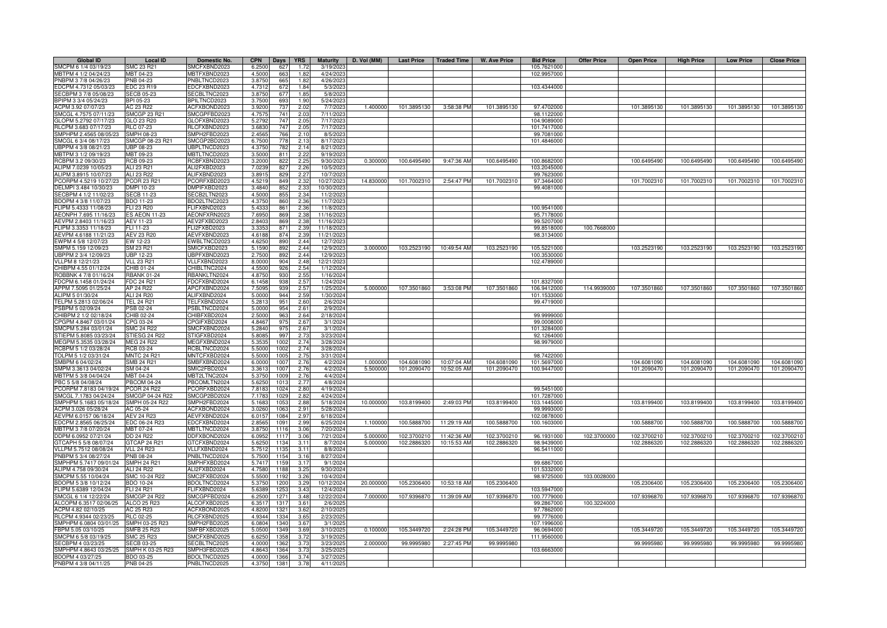| <b>Global ID</b>                              | <b>Local ID</b>                | Domestic No.        | <b>CPN</b><br>Days <b>YRS</b>  | <b>Maturity</b>       | D. Vol (MM) | <b>Last Price</b> | Traded Time | W. Ave Price               | <b>Bid Price</b> | <b>Offer Price</b> | <b>Open Price</b> | <b>High Price</b> | <b>Low Price</b> | <b>Close Price</b> |
|-----------------------------------------------|--------------------------------|---------------------|--------------------------------|-----------------------|-------------|-------------------|-------------|----------------------------|------------------|--------------------|-------------------|-------------------|------------------|--------------------|
| SMCPM 6 1/4 03/19/23                          | SMC 23 R21                     | SMCFXBND2023        | 6.2500<br>627<br>1.72          | 3/19/2023             |             |                   |             |                            | 105.7621000      |                    |                   |                   |                  |                    |
| MBTPM 4 1/2 04/24/23                          | MBT 04-23                      | <b>MBTFXBND2023</b> | 4.5000<br>663<br>1.82          | 4/24/2023             |             |                   |             |                            | 102.9957000      |                    |                   |                   |                  |                    |
| PNBPM 3 7/8 04/26/23                          | PNB 04-23                      | NBLTNCD2023         | 3.8750<br>665<br>1.82          | 4/26/202              |             |                   |             |                            |                  |                    |                   |                   |                  |                    |
| EDCPM 4.7312 05/03/23                         | <b>EDC 23 R19</b>              | DCFXBND2023         | 4.7312<br>672<br>1.84          | 5/3/2023              |             |                   |             |                            | 103.4344000      |                    |                   |                   |                  |                    |
| SECBPM 3 7/8 05/08/23                         | <b>SECB 05-23</b>              | SECBLTNC2023        | 3.8750<br>677<br>1.85          | 5/8/2023              |             |                   |             |                            |                  |                    |                   |                   |                  |                    |
| BPIPM 3 3/4 05/24/23                          | BPI 05-23                      | <b>BPILTNCD2023</b> | 3.7500<br>693<br>1.90          | 5/24/2023             |             |                   |             |                            |                  |                    |                   |                   |                  |                    |
| ACPM 3.92 07/07/23                            | AC 23 R22                      | ACFXBOND2023        | 737<br>3.9200<br>2.02          | 7/7/202               | 1.400000    | 101.3895130       | 3:58:38 PM  | 101.3895130                | 97.4702000       |                    | 101.3895130       | 101.3895130       | 101.3895130      | 101.3895130        |
| SMCGL 4.7575 07/11/23                         | <b>SMCGP 23 R21</b>            | SMCGPFBD2023        | 4.7575<br>741<br>2.03          | 7/11/202              |             |                   |             |                            | 98.1122000       |                    |                   |                   |                  |                    |
| GLOPM 5.2792 07/17/23                         | GLO 23 R20                     | GLOFXBND2023        | 5.2792<br>747<br>2.05          | 7/17/202              |             |                   |             |                            | 104.9089000      |                    |                   |                   |                  |                    |
| RLCPM 3.683 07/17/23                          | <b>RLC 07-23</b>               | ILCFXBND2023        | 3.6830<br>747<br>2.05          | 7/17/202              |             |                   |             |                            | 101.7417000      |                    |                   |                   |                  |                    |
| SMPHPM 2.4565 08/05/23                        | SMPH 08-23                     | SMPH2FBD2023        | 2.456<br>766<br>2.10           | 8/5/202               |             |                   |             |                            | 99.7081000       |                    |                   |                   |                  |                    |
| SMCGL 6 3/4 08/17/23                          | SMCGP 08-23 R21                | SMCGP2BD2023        | 6.7500<br>778<br>2.13          | 8/17/202              |             |                   |             |                            | 101.4846000      |                    |                   |                   |                  |                    |
| UBPPM 4 3/8 08/21/23                          | <b>UBP 08-23</b>               | <b>JBPLTNCD2023</b> | 4.3750<br>782<br>2.14          | 8/21/2023             |             |                   |             |                            |                  |                    |                   |                   |                  |                    |
| MBTPM 3 1/2 09/19/23                          | MBT 09-23                      | MBTLTNCD2023        | 3.5000<br>811<br>2.22          | 9/19/2023             |             |                   |             |                            |                  |                    |                   |                   |                  |                    |
| RCBPM 3.2 09/30/23                            | RCB 09-23                      | RCBFXBND2023        | 822<br>2.25<br>3.2000          | 9/30/2023             | 0.300000    | 100.6495490       | 9:47:36 AM  | 100.6495490                | 100.8682000      |                    | 100.6495490       | 100.6495490       | 100.6495490      | 100.6495490        |
| ALIPM 7.0239 10/05/23                         | ALI 23 R21                     | ALI2FXBD2023        | 7.0239<br>827<br>2.26          | 10/5/2023             |             |                   |             |                            | 103.2045000      |                    |                   |                   |                  |                    |
| ALIPM 3.8915 10/07/23                         | ALI 23 R22                     | ALIFXBND2023        | 3.891<br>829<br>2.27           | 10/7/2023             |             |                   |             |                            | 99.7623000       |                    |                   |                   |                  |                    |
| PCORPM 4.5219 10/27/23                        | <b>PCOR 23 R21</b>             | CORFXBD2023         | 4.521<br>849<br>2.32           | 10/27/2023            | 14,830000   | 101.7002310       | 2:54:47 PM  | 101.7002310                | 97,3464000       |                    | 101.7002310       | 101.7002310       | 101.7002310      | 101.7002310        |
| DELMPI 3.484 10/30/23                         | DMPI 10-23                     | MPIFXBD2023         | 3.484<br>852<br>2.3            | 10/30/202             |             |                   |             |                            | 99.4081000       |                    |                   |                   |                  |                    |
| SECBPM 4 1/2 11/02/23                         | <b>SECB 11-23</b>              | SECB2LTN2023        | 4.5000<br>855<br>2.34          | 11/2/2023             |             |                   |             |                            |                  |                    |                   |                   |                  |                    |
| BDOPM 4 3/8 11/07/23                          | BDO 11-23                      | BDO2LTNC2023        | 4.375<br>860<br>2.36           | 11/7/2023             |             |                   |             |                            |                  |                    |                   |                   |                  |                    |
| FLIPM 5.4333 11/08/23                         | FLI 23 R20                     | LIFXBND2023         | 5.433<br>861<br>2.36           | 11/8/202              |             |                   |             |                            | 100.9541000      |                    |                   |                   |                  |                    |
| AEONPH 7.695 11/16/23                         | <b>S AEON 11-23</b>            | AEONFXRN2023        | 7.695<br>869<br>2.38           | 11/16/202             |             |                   |             |                            | 95.7178000       |                    |                   |                   |                  |                    |
| AEVPM 2.8403 11/16/23                         | AEV 11-23                      | AEV2FXBD2023        | 2.840<br>869<br>2.38           | 11/16/2023            |             |                   |             |                            | 99.5207000       |                    |                   |                   |                  |                    |
| FLIPM 3.3353 11/18/23                         | FLI 11-23                      | FLI2FXBD2023        | 2.39<br>3.335<br>871           | 11/18/2023            |             |                   |             |                            | 99.8518000       | 100.7668000        |                   |                   |                  |                    |
| AEVPM 4.6188 11/21/23                         | AEV 23 R20                     | AEVFXBND2023        | 2.39<br>4.6188<br>874          | 11/21/2023            |             |                   |             |                            | 98.3134000       |                    |                   |                   |                  |                    |
| EWPM 4 5/8 12/07/23                           | EW 12-23                       | EWBLTNCD2023        | 890<br>2.44<br>4.6250          | 12/7/2023             |             |                   |             |                            |                  |                    |                   |                   |                  |                    |
| SMPM 5.159 12/09/23                           | SM 23 R21                      | SMICFXBD2023        | 2.44<br>5.1590<br>892          | 12/9/2023             | 3.000000    | 103.2523190       | 10:49:54 AM | 103.2523190                | 105.5221000      |                    | 103.2523190       | 103.2523190       | 103.2523190      | 103.2523190        |
| UBPPM 2 3/4 12/09/23                          | <b>UBP 12-23</b>               | JBPFXBND2023        | 2.44<br>892<br>2.7500          | 12/9/2023             |             |                   |             |                            | 100.3530000      |                    |                   |                   |                  |                    |
| VLLPM 8 12/21/23                              | <b>JLL 23 R21</b>              | /LLFXBND2023        | 904<br>2.48<br>8,0000          | 12/21/202             |             |                   |             |                            | 102.4789000      |                    |                   |                   |                  |                    |
| CHIBPM 4.55 01/12/24                          | CHIB 01-24                     | <b>CHIBLTNC2024</b> | 4.5500<br>926<br>2.54          | 1/12/2024             |             |                   |             |                            |                  |                    |                   |                   |                  |                    |
| ROBBNK 4 7/8 01/16/24                         | <b>RBANK 01-24</b>             | <b>BANKLTN2024</b>  | 4.8750<br>930<br>2.55          | 1/16/2024             |             |                   |             |                            |                  |                    |                   |                   |                  |                    |
| FDCPM 6.1458 01/24/24                         | <b>FDC 24 R21</b>              | DCFXBND2024         | 6.1458<br>938<br>2.57          | 1/24/2024             |             |                   |             |                            | 101.8327000      |                    |                   |                   |                  |                    |
| APPM 7.5095 01/25/24                          | AP 24 R22                      | APCFXBND2024        | 7.509<br>939<br>2.5            | 1/25/2024             | 5.000000    | 107.3501860       | 3:53:08 PM  | 107.3501860                | 106.9412000      | 114.9939000        | 107.3501860       | 107.3501860       | 107.3501860      | 107.3501860        |
| ALIPM 5 01/30/24                              | ALI 24 R20                     | ALIFXBND2024        | 944<br>5.000<br>2.59           | 1/30/2024             |             |                   |             |                            | 101.1533000      |                    |                   |                   |                  |                    |
| TELPM 5.2813 02/06/24                         | <b>FEL 24 R21</b>              | TELFXBND2024        | 5.281<br>951<br>2.60           | 2/6/2024              |             |                   |             |                            | 99.4719000       |                    |                   |                   |                  |                    |
| PSBPM 5 02/09/24                              | SB 02-24                       | SBLTNCD2024         | 5.000<br>954<br>2.61           | 2/9/2024              |             |                   |             |                            |                  |                    |                   |                   |                  |                    |
| CHIBPM 2 1/2 02/18/24                         | HIB 02-24                      | HIBFXBD2024         | 2.500<br>96<br>2.64            | 2/18/2024             |             |                   |             |                            | 99.9999000       |                    |                   |                   |                  |                    |
| CPGPM 4.8467 03/01/24                         |                                | PGIFXBD2024         | 4.846<br>975<br>2.6            | 3/1/2024              |             |                   |             |                            | 99.0008000       |                    |                   |                   |                  |                    |
| SMCPM 5.284 03/01/24                          | PG 03-24<br>SMC 24 R22         | SMCFXBND2024        | 5.2840<br>975<br>2.67          | 3/1/2024              |             |                   |             |                            | 101.3284000      |                    |                   |                   |                  |                    |
| STIEPM 5.8085 03/23/24                        | STIESG 24 R22                  | STIGFXBD2024        | 5.8085<br>997<br>2.73          | 3/23/2024             |             |                   |             |                            | 92.1264000       |                    |                   |                   |                  |                    |
|                                               |                                |                     |                                |                       |             |                   |             |                            |                  |                    |                   |                   |                  |                    |
| MEGPM 5.3535 03/28/24                         | <b>MEG 24 R22</b>              | MEGFXBND2024        | 5.353<br>2.74<br>1002          | 3/28/2024             |             |                   |             |                            | 98.9979000       |                    |                   |                   |                  |                    |
| RCBPM 5 1/2 03/28/24                          | RCB 03-24                      | RCBLTNCD2024        | 5.5000<br>2.74<br>1002         | 3/28/2024             |             |                   |             |                            |                  |                    |                   |                   |                  |                    |
| TOLPM 5 1/2 03/31/24                          | <b>MNTC 24 R21</b>             | MNTCFXBD2024        | 5.5000<br>1005<br>2.75         | 3/31/2024             | 1.000000    |                   |             |                            | 98.7422000       |                    |                   |                   |                  |                    |
| SMBPM 6 04/02/24                              | SMB 24 R21                     | SMBFXBND2024        | 2.76<br>6.0000<br>100          | 4/2/2024              |             | 104.6081090       | 10:07:04 AM | 104.6081090                | 101.5697000      |                    | 104.6081090       | 104.6081090       | 104.6081090      | 104.6081090        |
| SMPM 3.3613 04/02/24                          | SM 04-24                       | SMIC2FBD2024        | 3.361<br>2.76<br>100           | 4/2/2024              | 5.500000    | 101.2090470       | 10:52:05 AM | 101.2090470                | 100.9447000      |                    | 101.2090470       | 101.2090470       | 101.2090470      | 101.2090470        |
| MBTPM 5 3/8 04/04/24                          | MBT 04-24                      | <b>MBT2LTNC2024</b> | 5.375<br>1009<br>2.76          | 4/4/2024              |             |                   |             |                            |                  |                    |                   |                   |                  |                    |
| PBC 5 5/8 04/08/24                            | <b>PBCOM 04-24</b>             | BCOMLTN2024         | 5.625<br>101<br>2.77           | 4/8/2024              |             |                   |             |                            |                  |                    |                   |                   |                  |                    |
| PCORPM 7.8183 04/19/24                        | <b>PCOR 24 R22</b>             | CORFXBD2024         | 7.818<br>1024<br>2.80          | 4/19/2024             |             |                   |             |                            | 99.5451000       |                    |                   |                   |                  |                    |
| SMCGL 7.1783 04/24/24                         | SMCGP 04-24 R22                | SMCGP2BD2024        | 7.178<br>1029<br>2.82          | 4/24/2024             |             |                   |             |                            | 101.7287000      |                    |                   |                   |                  |                    |
| SMPHPM 5.1683 05/18/24                        | SMPH 05-24 R22                 | SMPH2FBD2024        | 5.168<br>1053<br>2.88          | 5/18/2024             | 10.000000   | 103.8199400       | 2:49:03 PM  | 103.8199400                | 103.1445000      |                    | 103.8199400       | 103.8199400       | 103.8199400      | 103.8199400        |
| ACPM 3.026 05/28/24                           | AC 05-24                       | ACFXBOND2024        | 3.026<br>106<br>2.91           | 5/28/2024             |             |                   |             |                            | 99.9993000       |                    |                   |                   |                  |                    |
| AEVPM 6.0157 06/18/24                         | <b>AEV 24 R23</b>              | AEVFXBND2024        | 6.0157<br>1084<br>2.97         | 6/18/2024             |             |                   |             |                            | 102.0878000      |                    |                   |                   |                  |                    |
| EDCPM 2.8565 06/25/24                         | EDC 06-24 R23                  | EDCFXBND2024        | 2.8565<br>1091<br>2.99<br>1116 | 6/25/2024             | 1.100000    | 100.5888700       | 11:29:19 AM | 100.5888700                | 100.1603000      |                    | 100.5888700       | 100.5888700       | 100.5888700      | 100.5888700        |
| MBTPM 3 7/8 07/20/24                          | MBT 07-24                      | <b>MBTLTNCD2024</b> | 3.8750<br>3.06<br>1117         | 7/20/2024             | 5.000000    |                   |             |                            |                  | 102.3700000        |                   |                   |                  |                    |
| DDPM 6.0952 07/21/24                          | DD 24 R22<br>GTCAP 24 R21      | DDFXBOND2024        | 6.0952<br>3.06<br>5.625        | 7/21/2024             | 5.000000    | 102.3700210       | 11:42:36 AM | 102.3700210<br>102.2886320 | 96.1931000       |                    | 102.3700210       | 102.3700210       | 102.3700210      | 102.3700210        |
| GTCAPH 5 5/8 08/07/24                         |                                | GTCFXBND2024        | 3.11<br>1134<br>1135           | 8/7/2024              |             | 102.2886320       | 10:15:53 AM |                            | 98.9439000       |                    | 102.2886320       | 102.2886320       | 102.2886320      | 102.2886320        |
| VLLPM 5.7512 08/08/24<br>PNBPM 5 3/4 08/27/24 | <b>VLL 24 R23</b><br>PNB 08-24 | /LLFXBND2024        | 5.7512<br>3.11<br>1154<br>3.16 | 8/8/2024<br>8/27/2024 |             |                   |             |                            | 96.5411000       |                    |                   |                   |                  |                    |
|                                               |                                | PNBLTNCD2024        | 5.7500                         |                       |             |                   |             |                            |                  |                    |                   |                   |                  |                    |
| SMPHPM 5.7417 09/01/24                        | <b>SMPH 24 R21</b>             | SMPHFXBD2024        | 5.7417<br>1159<br>3.17         | 9/1/2024              |             |                   |             |                            | 99.6867000       |                    |                   |                   |                  |                    |
| ALIPM 4.758 09/30/24                          | ALI 24 R22                     | ALI2FXBD2024        | 4.7580<br>1188<br>3.25         | 9/30/2024             |             |                   |             |                            | 101.5332000      |                    |                   |                   |                  |                    |
| SMCPM 5.55 10/04/24                           | SMC 10-24 R22                  | SMC2FXBD2024        | 5.5500<br>1192<br>3.26         | 10/4/2024             |             |                   |             |                            | 98.9725000       | 103.0028000        |                   |                   |                  |                    |
| BDOPM 5 3/8 10/12/24                          | BDO 10-24                      | BDOLTNCD2024        | 5.3750<br>1200<br>3.29         | 10/12/2024            | 20.000000   | 105.2306400       | 10:53:18 AM | 105.2306400                |                  |                    | 105.2306400       | 105.2306400       | 105.2306400      | 105.2306400        |
| FLIPM 5.6389 12/04/24                         | FLI 24 R21                     | FLIFXBND2024        | 5.6389<br>1253<br>3.43         | 12/4/2024             |             |                   |             |                            | 103.5947000      |                    |                   |                   |                  |                    |
| SMCGL 6 1/4 12/22/24                          | SMCGP 24 R22                   | SMCGPFBD2024        | 6.250<br>1271<br>3.48          | 12/22/2024            | 7.000000    | 107.9396870       | 11:39:09 AM | 107.9396870                | 100.7779000      |                    | 107.9396870       | 107.9396870       | 107.9396870      | 107.9396870        |
| ALCOPM 6.3517 02/06/25                        | ALCO 25 R23                    | ALCOFXBD2025        | 6.351<br>1317<br>3.61          | 2/6/202               |             |                   |             |                            | 99.2867000       | 100.3224000        |                   |                   |                  |                    |
| ACPM 4.82 02/10/25                            | AC 25 R23                      | ACFXBOND2025        | 4.8200<br>1321<br>3.62         | 2/10/2025             |             |                   |             |                            | 97.7862000       |                    |                   |                   |                  |                    |
| RLCPM 4.9344 02/23/25                         | <b>RLC 02-25</b>               | RLCFXBND2025        | 4.934<br>3.65<br>1334          | 2/23/2025             |             |                   |             |                            | 99.7776000       |                    |                   |                   |                  |                    |
| SMPHPM 6.0804 03/01/25                        | SMPH 03-25 R23                 | SMPH2FBD2025        | 3.67<br>6.080<br>1340          | 3/1/2025              |             |                   |             |                            | 107.1996000      |                    |                   |                   |                  |                    |
| FBPM 5.05 03/10/25                            | <b>SMFB 25 R23</b>             | SMFBFXBD2025        | 1349<br>3.69<br>5.0500         | 3/10/2025             | 0.100000    | 105.3449720       | 2:24:28 PM  | 105.3449720                | 96.0694000       |                    | 105.3449720       | 105.3449720       | 105.3449720      | 105.3449720        |
| SMCPM 6 5/8 03/19/25                          | <b>SMC 25 R23</b>              | SMCFXBND2025        | 1358<br>3.72<br>6.6250         | 3/19/2025             |             |                   |             |                            | 111.9560000      |                    |                   |                   |                  |                    |
| SECBPM 4 03/23/25                             | <b>SECB 03-25</b>              | SECBLTNC2025        | 3.73<br>4.0000<br>1362         | 3/23/2025             | 2.000000    | 99.9995980        | 2:27:45 PM  | 99.9995980                 |                  |                    | 99.9995980        | 99.9995980        | 99.9995980       | 99.9995980         |
| SMPHPM 4.8643 03/25/25                        | SMPH K 03-25 R23               | SMPH3FBD2025        | 4.864<br>3.73<br>1364          | 3/25/2025             |             |                   |             |                            | 103.6663000      |                    |                   |                   |                  |                    |
| BDOPM 4 03/27/25                              | <b>BDO 03-25</b>               | BDOLTNCD2025        | 4.0000<br>3.74<br>1366         | 3/27/202              |             |                   |             |                            |                  |                    |                   |                   |                  |                    |
| PNBPM 4 3/8 04/11/25                          | <b>PNB 04-25</b>               | PNBLTNCD2025        | 4.3750<br>1381<br>3.78         | 4/11/2025             |             |                   |             |                            |                  |                    |                   |                   |                  |                    |